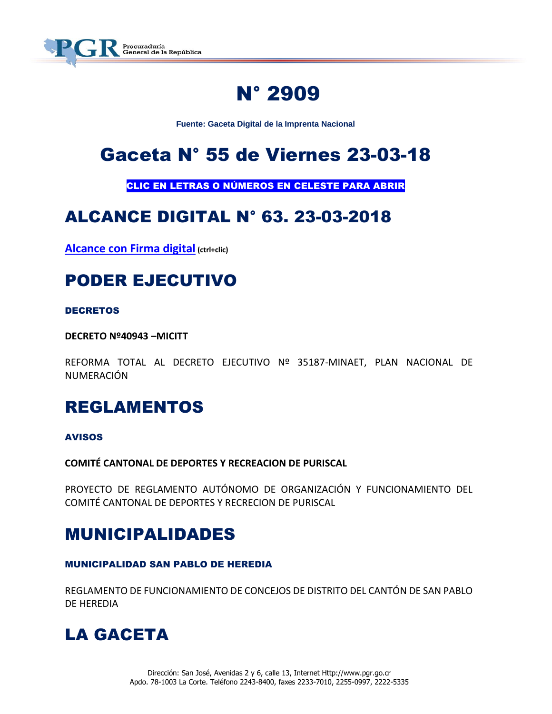

## N° 2909

**Fuente: Gaceta Digital de la Imprenta Nacional**

## Gaceta N° 55 de Viernes 23-03-18

CLIC EN LETRAS O NÚMEROS EN CELESTE PARA ABRIR

## ALCANCE DIGITAL N° 63. 23-03-2018

**[Alcance con Firma digital](https://www.imprentanacional.go.cr/pub/2018/03/23/ALCA63_23_03_2018.pdf) (ctrl+clic)**

## PODER EJECUTIVO

#### DECRETOS

**DECRETO Nº40943 –MICITT**

REFORMA TOTAL AL DECRETO EJECUTIVO Nº 35187-MINAET, PLAN NACIONAL DE NUMERACIÓN

## REGLAMENTOS

#### AVISOS

**COMITÉ CANTONAL DE DEPORTES Y RECREACION DE PURISCAL** 

PROYECTO DE REGLAMENTO AUTÓNOMO DE ORGANIZACIÓN Y FUNCIONAMIENTO DEL COMITÉ CANTONAL DE DEPORTES Y RECRECION DE PURISCAL

### MUNICIPALIDADES

#### MUNICIPALIDAD SAN PABLO DE HEREDIA

REGLAMENTO DE FUNCIONAMIENTO DE CONCEJOS DE DISTRITO DEL CANTÓN DE SAN PABLO DE HEREDIA

## LA GACETA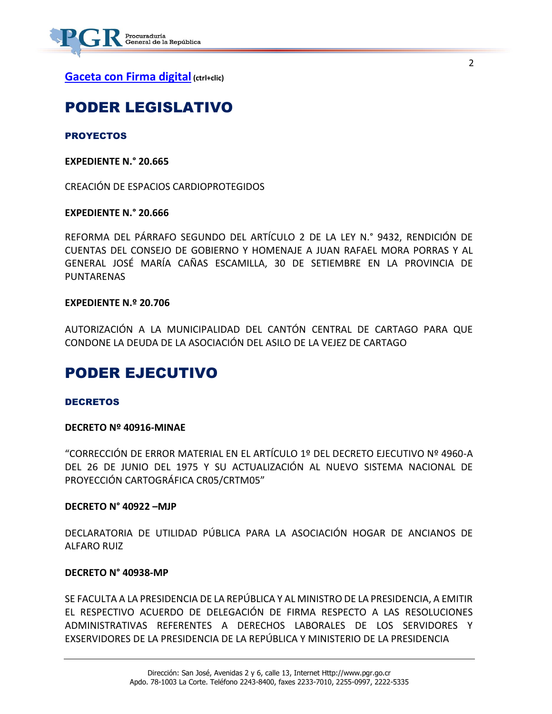

**[Gaceta con Firma digital](https://www.imprentanacional.go.cr/pub/2018/03/23/COMP_23_03_2018.pdf) (ctrl+clic)**

### PODER LEGISLATIVO

**PROYECTOS** 

**EXPEDIENTE N.° 20.665**

CREACIÓN DE ESPACIOS CARDIOPROTEGIDOS

#### **EXPEDIENTE N.° 20.666**

REFORMA DEL PÁRRAFO SEGUNDO DEL ARTÍCULO 2 DE LA LEY N.° 9432, RENDICIÓN DE CUENTAS DEL CONSEJO DE GOBIERNO Y HOMENAJE A JUAN RAFAEL MORA PORRAS Y AL GENERAL JOSÉ MARÍA CAÑAS ESCAMILLA, 30 DE SETIEMBRE EN LA PROVINCIA DE **PUNTARENAS** 

#### **EXPEDIENTE N.º 20.706**

AUTORIZACIÓN A LA MUNICIPALIDAD DEL CANTÓN CENTRAL DE CARTAGO PARA QUE CONDONE LA DEUDA DE LA ASOCIACIÓN DEL ASILO DE LA VEJEZ DE CARTAGO

### PODER EJECUTIVO

#### **DECRETOS**

#### **DECRETO Nº 40916-MINAE**

"CORRECCIÓN DE ERROR MATERIAL EN EL ARTÍCULO 1º DEL DECRETO EJECUTIVO Nº 4960-A DEL 26 DE JUNIO DEL 1975 Y SU ACTUALIZACIÓN AL NUEVO SISTEMA NACIONAL DE PROYECCIÓN CARTOGRÁFICA CR05/CRTM05"

#### **DECRETO N° 40922 –MJP**

DECLARATORIA DE UTILIDAD PÚBLICA PARA LA ASOCIACIÓN HOGAR DE ANCIANOS DE ALFARO RUIZ

#### **DECRETO N° 40938-MP**

SE FACULTA A LA PRESIDENCIA DE LA REPÚBLICA Y AL MINISTRO DE LA PRESIDENCIA, A EMITIR EL RESPECTIVO ACUERDO DE DELEGACIÓN DE FIRMA RESPECTO A LAS RESOLUCIONES ADMINISTRATIVAS REFERENTES A DERECHOS LABORALES DE LOS SERVIDORES Y EXSERVIDORES DE LA PRESIDENCIA DE LA REPÚBLICA Y MINISTERIO DE LA PRESIDENCIA

2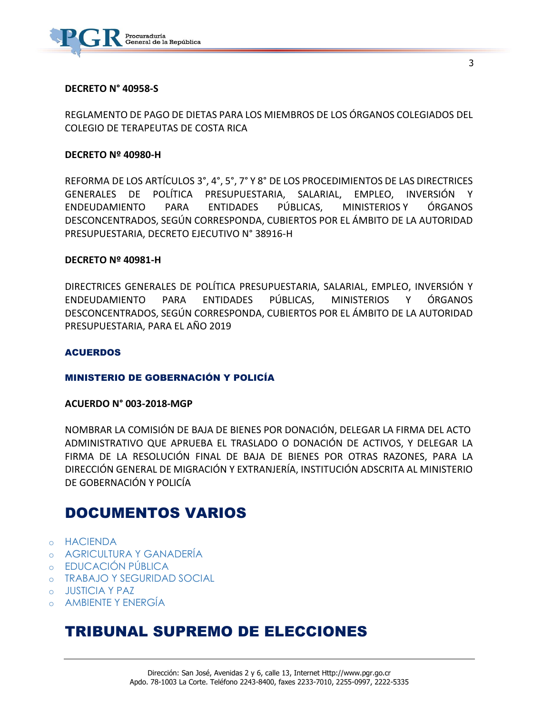

#### **DECRETO N° 40958-S**

REGLAMENTO DE PAGO DE DIETAS PARA LOS MIEMBROS DE LOS ÓRGANOS COLEGIADOS DEL COLEGIO DE TERAPEUTAS DE COSTA RICA

#### **DECRETO Nº 40980-H**

REFORMA DE LOS ARTÍCULOS 3°, 4°, 5°, 7° Y 8° DE LOS PROCEDIMIENTOS DE LAS DIRECTRICES GENERALES DE POLÍTICA PRESUPUESTARIA, SALARIAL, EMPLEO, INVERSIÓN Y ENDEUDAMIENTO PARA ENTIDADES PÚBLICAS, MINISTERIOS Y ÓRGANOS DESCONCENTRADOS, SEGÚN CORRESPONDA, CUBIERTOS POR EL ÁMBITO DE LA AUTORIDAD PRESUPUESTARIA, DECRETO EJECUTIVO N° 38916-H

#### **DECRETO Nº 40981-H**

DIRECTRICES GENERALES DE POLÍTICA PRESUPUESTARIA, SALARIAL, EMPLEO, INVERSIÓN Y ENDEUDAMIENTO PARA ENTIDADES PÚBLICAS, MINISTERIOS Y ÓRGANOS DESCONCENTRADOS, SEGÚN CORRESPONDA, CUBIERTOS POR EL ÁMBITO DE LA AUTORIDAD PRESUPUESTARIA, PARA EL AÑO 2019

#### ACUERDOS

#### MINISTERIO DE GOBERNACIÓN Y POLICÍA

#### **ACUERDO N° 003-2018-MGP**

NOMBRAR LA COMISIÓN DE BAJA DE BIENES POR DONACIÓN, DELEGAR LA FIRMA DEL ACTO ADMINISTRATIVO QUE APRUEBA EL TRASLADO O DONACIÓN DE ACTIVOS, Y DELEGAR LA FIRMA DE LA RESOLUCIÓN FINAL DE BAJA DE BIENES POR OTRAS RAZONES, PARA LA DIRECCIÓN GENERAL DE MIGRACIÓN Y EXTRANJERÍA, INSTITUCIÓN ADSCRITA AL MINISTERIO DE GOBERNACIÓN Y POLICÍA

### DOCUMENTOS VARIOS

- o [HACIENDA](https://www.imprentanacional.go.cr/gaceta/#hacienda)
- o [AGRICULTURA Y GANADERÍA](https://www.imprentanacional.go.cr/gaceta/#agricultura-y-ganadera)
- o [EDUCACIÓN PÚBLICA](https://www.imprentanacional.go.cr/gaceta/#educacin-pblica)
- o [TRABAJO Y SEGURIDAD SOCIAL](https://www.imprentanacional.go.cr/gaceta/#trabajo-y-seguridad-social)
- o [JUSTICIA Y PAZ](https://www.imprentanacional.go.cr/gaceta/#justicia-y-paz)
- o [AMBIENTE Y ENERGÍA](https://www.imprentanacional.go.cr/gaceta/#ambiente-y-energa)

### TRIBUNAL SUPREMO DE ELECCIONES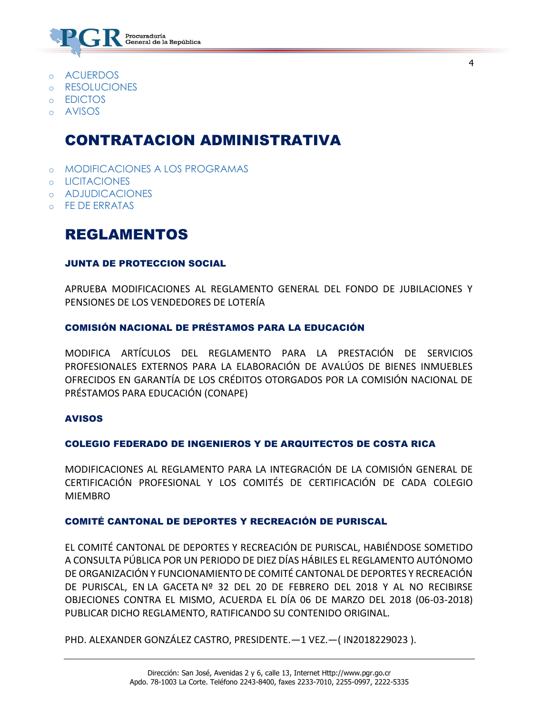

- o [ACUERDOS](https://www.imprentanacional.go.cr/gaceta/#acuerdos)
- o [RESOLUCIONES](https://www.imprentanacional.go.cr/gaceta/#resoluciones)
- o [EDICTOS](https://www.imprentanacional.go.cr/gaceta/#edictos)
- o [AVISOS](https://www.imprentanacional.go.cr/gaceta/#avisos)

### CONTRATACION ADMINISTRATIVA

- o [MODIFICACIONES A LOS PROGRAMAS](https://www.imprentanacional.go.cr/gaceta/#modificaciones-a-los-programas)
- o [LICITACIONES](https://www.imprentanacional.go.cr/gaceta/#licitaciones)
- o [ADJUDICACIONES](https://www.imprentanacional.go.cr/gaceta/#adjudicaciones)
- **[FE DE ERRATAS](https://www.imprentanacional.go.cr/gaceta/#fe-de-erratas)**

### REGLAMENTOS

#### JUNTA DE PROTECCION SOCIAL

APRUEBA MODIFICACIONES AL REGLAMENTO GENERAL DEL FONDO DE JUBILACIONES Y PENSIONES DE LOS VENDEDORES DE LOTERÍA

#### COMISIÓN NACIONAL DE PRÉSTAMOS PARA LA EDUCACIÓN

MODIFICA ARTÍCULOS DEL REGLAMENTO PARA LA PRESTACIÓN DE SERVICIOS PROFESIONALES EXTERNOS PARA LA ELABORACIÓN DE AVALÚOS DE BIENES INMUEBLES OFRECIDOS EN GARANTÍA DE LOS CRÉDITOS OTORGADOS POR LA COMISIÓN NACIONAL DE PRÉSTAMOS PARA EDUCACIÓN (CONAPE)

#### AVISOS

#### COLEGIO FEDERADO DE INGENIEROS Y DE ARQUITECTOS DE COSTA RICA

MODIFICACIONES AL REGLAMENTO PARA LA INTEGRACIÓN DE LA COMISIÓN GENERAL DE CERTIFICACIÓN PROFESIONAL Y LOS COMITÉS DE CERTIFICACIÓN DE CADA COLEGIO MIEMBRO

#### COMITÉ CANTONAL DE DEPORTES Y RECREACIÓN DE PURISCAL

EL COMITÉ CANTONAL DE DEPORTES Y RECREACIÓN DE PURISCAL, HABIÉNDOSE SOMETIDO A CONSULTA PÚBLICA POR UN PERIODO DE DIEZ DÍAS HÁBILES EL REGLAMENTO AUTÓNOMO DE ORGANIZACIÓN Y FUNCIONAMIENTO DE COMITÉ CANTONAL DE DEPORTES Y RECREACIÓN DE PURISCAL, EN LA GACETA Nº 32 DEL 20 DE FEBRERO DEL 2018 Y AL NO RECIBIRSE OBJECIONES CONTRA EL MISMO, ACUERDA EL DÍA 06 DE MARZO DEL 2018 (06-03-2018) PUBLICAR DICHO REGLAMENTO, RATIFICANDO SU CONTENIDO ORIGINAL.

PHD. ALEXANDER GONZÁLEZ CASTRO, PRESIDENTE.—1 VEZ.—( IN2018229023 ).

4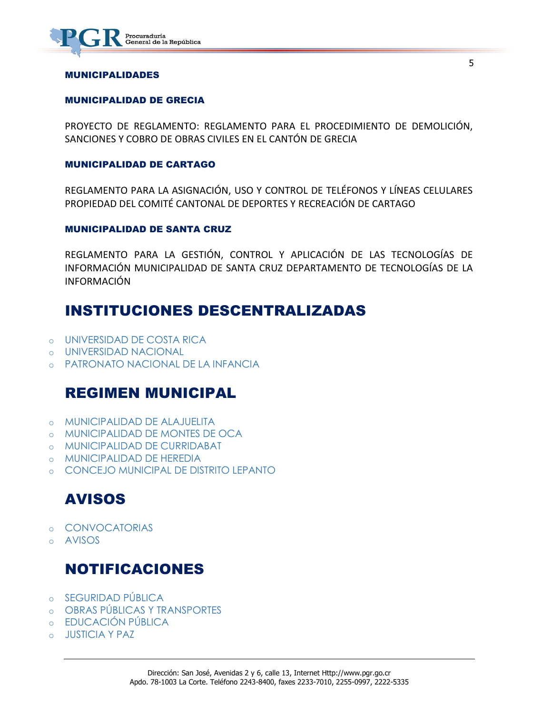

#### MUNICIPALIDADES

#### MUNICIPALIDAD DE GRECIA

PROYECTO DE REGLAMENTO: REGLAMENTO PARA EL PROCEDIMIENTO DE DEMOLICIÓN, SANCIONES Y COBRO DE OBRAS CIVILES EN EL CANTÓN DE GRECIA

#### MUNICIPALIDAD DE CARTAGO

REGLAMENTO PARA LA ASIGNACIÓN, USO Y CONTROL DE TELÉFONOS Y LÍNEAS CELULARES PROPIEDAD DEL COMITÉ CANTONAL DE DEPORTES Y RECREACIÓN DE CARTAGO

#### MUNICIPALIDAD DE SANTA CRUZ

REGLAMENTO PARA LA GESTIÓN, CONTROL Y APLICACIÓN DE LAS TECNOLOGÍAS DE INFORMACIÓN MUNICIPALIDAD DE SANTA CRUZ DEPARTAMENTO DE TECNOLOGÍAS DE LA INFORMACIÓN

### INSTITUCIONES DESCENTRALIZADAS

- o [UNIVERSIDAD DE COSTA RICA](https://www.imprentanacional.go.cr/gaceta/#universidad-de-costa-rica)
- o [UNIVERSIDAD NACIONAL](https://www.imprentanacional.go.cr/gaceta/#universidad-nacional)
- o [PATRONATO NACIONAL DE LA INFANCIA](https://www.imprentanacional.go.cr/gaceta/#patronato-nacional-de-la-infancia)

### REGIMEN MUNICIPAL

- o [MUNICIPALIDAD DE](https://www.imprentanacional.go.cr/gaceta/#municipalidad-de-alajuelita) ALAJUELITA
- o [MUNICIPALIDAD DE MONTES DE OCA](https://www.imprentanacional.go.cr/gaceta/#municipalidad-de-montes-de-oca)
- o [MUNICIPALIDAD DE CURRIDABAT](https://www.imprentanacional.go.cr/gaceta/#municipalidad-de-curridabat)
- o [MUNICIPALIDAD DE HEREDIA](https://www.imprentanacional.go.cr/gaceta/#municipalidad-de-heredia)
- o [CONCEJO MUNICIPAL DE DISTRITO LEPANTO](https://www.imprentanacional.go.cr/gaceta/#concejo-municipal-de-distritolepanto)

### AVISOS

- o [CONVOCATORIAS](https://www.imprentanacional.go.cr/gaceta/#convocatorias)
- o [AVISOS](https://www.imprentanacional.go.cr/gaceta/#avisos)

### NOTIFICACIONES

- o [SEGURIDAD PÚBLICA](https://www.imprentanacional.go.cr/gaceta/#seguridad-pblica)
- o [OBRAS PÚBLICAS Y TRANSPORTES](https://www.imprentanacional.go.cr/gaceta/#obras-pblicas-y-transportes)
- o [EDUCACIÓN PÚBLICA](https://www.imprentanacional.go.cr/gaceta/#educacin-pblica)
- **[JUSTICIA Y PAZ](https://www.imprentanacional.go.cr/gaceta/#justicia-y-paz)**